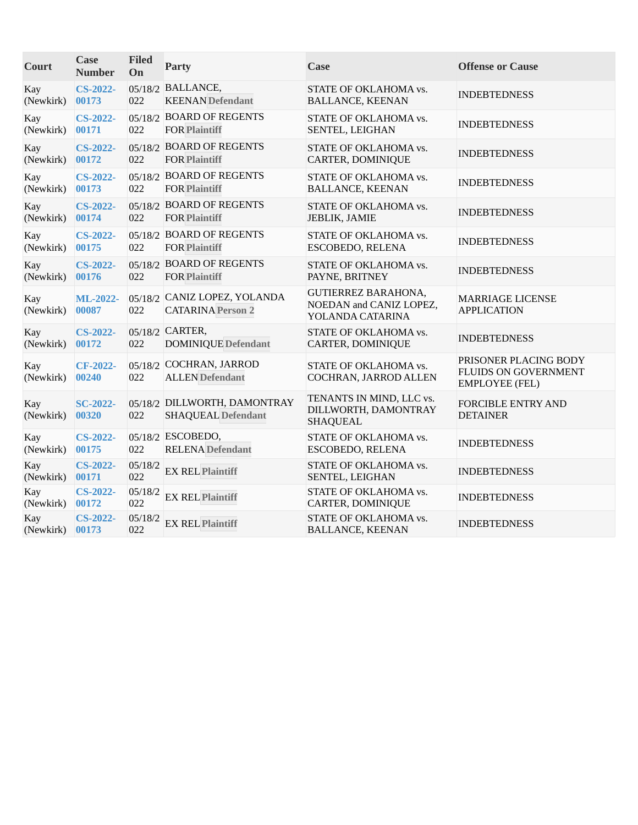| Court            | Case<br><b>Number</b>    | <b>Filed</b><br>On | <b>Party</b>                                              | <b>Case</b>                                                               | <b>Offense or Cause</b>                                                       |
|------------------|--------------------------|--------------------|-----------------------------------------------------------|---------------------------------------------------------------------------|-------------------------------------------------------------------------------|
| Kay<br>(Newkirk) | <b>CS-2022-</b><br>00173 | 022                | 05/18/2 BALLANCE,<br><b>KEENAN</b> Defendant              | STATE OF OKLAHOMA vs.<br><b>BALLANCE, KEENAN</b>                          | <b>INDEBTEDNESS</b>                                                           |
| Kay<br>(Newkirk) | <b>CS-2022-</b><br>00171 | 022                | 05/18/2 BOARD OF REGENTS<br><b>FOR Plaintiff</b>          | STATE OF OKLAHOMA vs.<br>SENTEL, LEIGHAN                                  | <b>INDEBTEDNESS</b>                                                           |
| Kay<br>(Newkirk) | <b>CS-2022-</b><br>00172 | 022                | 05/18/2 BOARD OF REGENTS<br><b>FOR Plaintiff</b>          | STATE OF OKLAHOMA vs.<br>CARTER, DOMINIQUE                                | <b>INDEBTEDNESS</b>                                                           |
| Kay<br>(Newkirk) | <b>CS-2022-</b><br>00173 | 022                | 05/18/2 BOARD OF REGENTS<br><b>FOR Plaintiff</b>          | STATE OF OKLAHOMA vs.<br><b>BALLANCE, KEENAN</b>                          | <b>INDEBTEDNESS</b>                                                           |
| Kay<br>(Newkirk) | <b>CS-2022-</b><br>00174 | 022                | 05/18/2 BOARD OF REGENTS<br><b>FOR Plaintiff</b>          | STATE OF OKLAHOMA vs.<br>JEBLIK, JAMIE                                    | <b>INDEBTEDNESS</b>                                                           |
| Kay<br>(Newkirk) | <b>CS-2022-</b><br>00175 | 022                | 05/18/2 BOARD OF REGENTS<br><b>FOR Plaintiff</b>          | STATE OF OKLAHOMA vs.<br>ESCOBEDO, RELENA                                 | <b>INDEBTEDNESS</b>                                                           |
| Kay<br>(Newkirk) | <b>CS-2022-</b><br>00176 | 022                | 05/18/2 BOARD OF REGENTS<br><b>FOR Plaintiff</b>          | STATE OF OKLAHOMA vs.<br>PAYNE, BRITNEY                                   | <b>INDEBTEDNESS</b>                                                           |
| Kay<br>(Newkirk) | ML-2022-<br>00087        | 022                | 05/18/2 CANIZ LOPEZ, YOLANDA<br><b>CATARINA Person 2</b>  | <b>GUTIERREZ BARAHONA,</b><br>NOEDAN and CANIZ LOPEZ,<br>YOLANDA CATARINA | MARRIAGE LICENSE<br><b>APPLICATION</b>                                        |
| Kay<br>(Newkirk) | <b>CS-2022-</b><br>00172 | 022                | 05/18/2 CARTER,<br><b>DOMINIQUE</b> Defendant             | STATE OF OKLAHOMA vs.<br>CARTER, DOMINIQUE                                | <b>INDEBTEDNESS</b>                                                           |
| Kay<br>(Newkirk) | <b>CF-2022-</b><br>00240 | 022                | 05/18/2 COCHRAN, JARROD<br><b>ALLEN</b> Defendant         | STATE OF OKLAHOMA vs.<br>COCHRAN, JARROD ALLEN                            | PRISONER PLACING BODY<br><b>FLUIDS ON GOVERNMENT</b><br><b>EMPLOYEE (FEL)</b> |
| Kay<br>(Newkirk) | <b>SC-2022-</b><br>00320 | 022                | 05/18/2 DILLWORTH, DAMONTRAY<br><b>SHAQUEAL Defendant</b> | TENANTS IN MIND, LLC vs.<br>DILLWORTH, DAMONTRAY<br><b>SHAQUEAL</b>       | <b>FORCIBLE ENTRY AND</b><br><b>DETAINER</b>                                  |
| Kay<br>(Newkirk) | <b>CS-2022-</b><br>00175 | 022                | 05/18/2 ESCOBEDO,<br><b>RELENA</b> Defendant              | STATE OF OKLAHOMA vs.<br>ESCOBEDO, RELENA                                 | <b>INDEBTEDNESS</b>                                                           |
| Kay<br>(Newkirk) | <b>CS-2022-</b><br>00171 | 05/18/2<br>022     | <b>EX REL Plaintiff</b>                                   | STATE OF OKLAHOMA vs.<br>SENTEL, LEIGHAN                                  | <b>INDEBTEDNESS</b>                                                           |
| Kay<br>(Newkirk) | <b>CS-2022-</b><br>00172 | 05/18/2<br>022     | <b>EX REL Plaintiff</b>                                   | STATE OF OKLAHOMA vs.<br><b>CARTER, DOMINIQUE</b>                         | <b>INDEBTEDNESS</b>                                                           |
| Kay<br>(Newkirk) | <b>CS-2022-</b><br>00173 | 05/18/2<br>022     | <b>EX REL Plaintiff</b>                                   | STATE OF OKLAHOMA vs.<br><b>BALLANCE, KEENAN</b>                          | <b>INDEBTEDNESS</b>                                                           |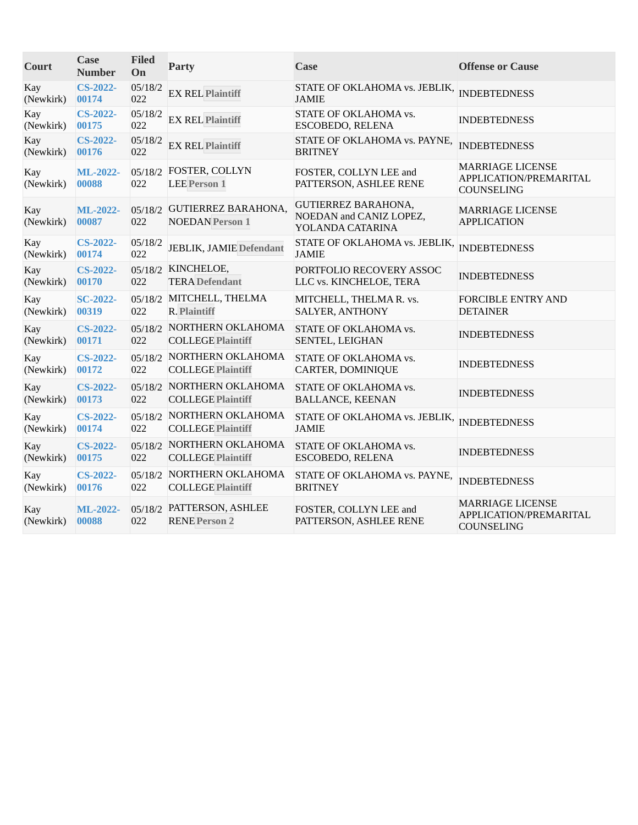| Court            | Case<br><b>Number</b>    | <b>Filed</b><br>On | Party                                                 | Case                                                                      | <b>Offense or Cause</b>                                         |
|------------------|--------------------------|--------------------|-------------------------------------------------------|---------------------------------------------------------------------------|-----------------------------------------------------------------|
| Kay<br>(Newkirk) | <b>CS-2022-</b><br>00174 | 05/18/2<br>022     | <b>EX REL Plaintiff</b>                               | STATE OF OKLAHOMA vs. JEBLIK,<br><b>JAMIE</b>                             | <b>INDEBTEDNESS</b>                                             |
| Kay<br>(Newkirk) | <b>CS-2022-</b><br>00175 | 05/18/2<br>022     | <b>EX REL Plaintiff</b>                               | STATE OF OKLAHOMA vs.<br>ESCOBEDO, RELENA                                 | <b>INDEBTEDNESS</b>                                             |
| Kay<br>(Newkirk) | <b>CS-2022-</b><br>00176 | 05/18/2<br>022     | <b>EX REL Plaintiff</b>                               | STATE OF OKLAHOMA vs. PAYNE,<br><b>BRITNEY</b>                            | <b>INDEBTEDNESS</b>                                             |
| Kay<br>(Newkirk) | ML-2022-<br>00088        | 022                | 05/18/2 FOSTER, COLLYN<br><b>LEE Person 1</b>         | FOSTER, COLLYN LEE and<br>PATTERSON, ASHLEE RENE                          | MARRIAGE LICENSE<br>APPLICATION/PREMARITAL<br>COUNSELING        |
| Kay<br>(Newkirk) | ML-2022-<br>00087        | 022                | 05/18/2 GUTIERREZ BARAHONA,<br><b>NOEDAN</b> Person 1 | <b>GUTIERREZ BARAHONA,</b><br>NOEDAN and CANIZ LOPEZ,<br>YOLANDA CATARINA | <b>MARRIAGE LICENSE</b><br><b>APPLICATION</b>                   |
| Kay<br>(Newkirk) | <b>CS-2022-</b><br>00174 | 05/18/2<br>022     | <b>JEBLIK, JAMIE Defendant</b>                        | STATE OF OKLAHOMA vs. JEBLIK,<br><b>JAMIE</b>                             | <b>INDEBTEDNESS</b>                                             |
| Kay<br>(Newkirk) | <b>CS-2022-</b><br>00170 | 022                | 05/18/2 KINCHELOE,<br><b>TERA</b> Defendant           | PORTFOLIO RECOVERY ASSOC<br>LLC vs. KINCHELOE, TERA                       | <b>INDEBTEDNESS</b>                                             |
| Kay<br>(Newkirk) | <b>SC-2022-</b><br>00319 | 022                | 05/18/2 MITCHELL, THELMA<br><b>R. Plaintiff</b>       | MITCHELL, THELMAR. vs.<br>SALYER, ANTHONY                                 | <b>FORCIBLE ENTRY AND</b><br><b>DETAINER</b>                    |
| Kay<br>(Newkirk) | <b>CS-2022-</b><br>00171 | 022                | 05/18/2 NORTHERN OKLAHOMA<br><b>COLLEGE Plaintiff</b> | STATE OF OKLAHOMA vs.<br>SENTEL, LEIGHAN                                  | <b>INDEBTEDNESS</b>                                             |
| Kay<br>(Newkirk) | <b>CS-2022-</b><br>00172 | 022                | 05/18/2 NORTHERN OKLAHOMA<br><b>COLLEGE Plaintiff</b> | STATE OF OKLAHOMA vs.<br>CARTER, DOMINIQUE                                | <b>INDEBTEDNESS</b>                                             |
| Kay<br>(Newkirk) | <b>CS-2022-</b><br>00173 | 022                | 05/18/2 NORTHERN OKLAHOMA<br><b>COLLEGE Plaintiff</b> | STATE OF OKLAHOMA vs.<br><b>BALLANCE, KEENAN</b>                          | <b>INDEBTEDNESS</b>                                             |
| Kay<br>(Newkirk) | <b>CS-2022-</b><br>00174 | 022                | 05/18/2 NORTHERN OKLAHOMA<br><b>COLLEGE Plaintiff</b> | STATE OF OKLAHOMA vs. JEBLIK,<br><b>JAMIE</b>                             | <b>INDEBTEDNESS</b>                                             |
| Kay<br>(Newkirk) | <b>CS-2022-</b><br>00175 | 022                | 05/18/2 NORTHERN OKLAHOMA<br><b>COLLEGE Plaintiff</b> | STATE OF OKLAHOMA vs.<br>ESCOBEDO, RELENA                                 | <b>INDEBTEDNESS</b>                                             |
| Kay<br>(Newkirk) | <b>CS-2022-</b><br>00176 | 022                | 05/18/2 NORTHERN OKLAHOMA<br><b>COLLEGE Plaintiff</b> | STATE OF OKLAHOMA vs. PAYNE,<br><b>BRITNEY</b>                            | <b>INDEBTEDNESS</b>                                             |
| Kay<br>(Newkirk) | ML-2022-<br>00088        | 022                | 05/18/2 PATTERSON, ASHLEE<br><b>RENE Person 2</b>     | FOSTER, COLLYN LEE and<br>PATTERSON, ASHLEE RENE                          | <b>MARRIAGE LICENSE</b><br>APPLICATION/PREMARITAL<br>COUNSELING |